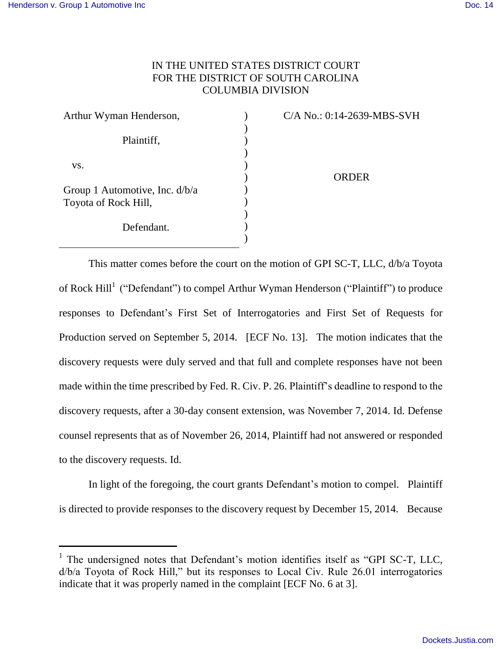l

## IN THE UNITED STATES DISTRICT COURT FOR THE DISTRICT OF SOUTH CAROLINA COLUMBIA DIVISION

| Arthur Wyman Henderson,        |  |
|--------------------------------|--|
|                                |  |
| Plaintiff,                     |  |
|                                |  |
| VS.                            |  |
|                                |  |
| Group 1 Automotive, Inc. d/b/a |  |
| Toyota of Rock Hill,           |  |
|                                |  |
| Defendant.                     |  |
|                                |  |

C/A No.: 0:14-2639-MBS-SVH

**ORDER** 

This matter comes before the court on the motion of GPI SC-T, LLC, d/b/a Toyota of Rock Hill<sup>1</sup> ("Defendant") to compel Arthur Wyman Henderson ("Plaintiff") to produce responses to Defendant's First Set of Interrogatories and First Set of Requests for Production served on September 5, 2014. [ECF No. 13]. The motion indicates that the discovery requests were duly served and that full and complete responses have not been made within the time prescribed by Fed. R. Civ. P. 26. Plaintiff's deadline to respond to the discovery requests, after a 30-day consent extension, was November 7, 2014. Id. Defense counsel represents that as of November 26, 2014, Plaintiff had not answered or responded to the discovery requests. Id.

In light of the foregoing, the court grants Defendant's motion to compel. Plaintiff is directed to provide responses to the discovery request by December 15, 2014. Because

<sup>&</sup>lt;sup>1</sup> The undersigned notes that Defendant's motion identifies itself as "GPI SC-T, LLC, d/b/a Toyota of Rock Hill," but its responses to Local Civ. Rule 26.01 interrogatories indicate that it was properly named in the complaint [ECF No. 6 at 3].